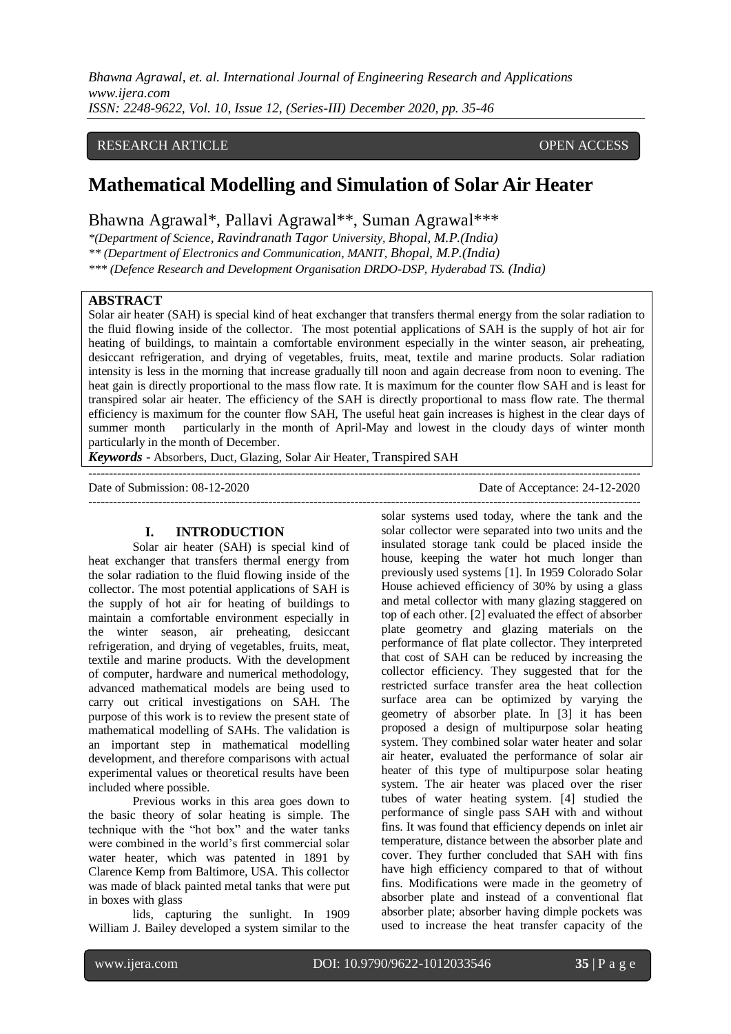# RESEARCH ARTICLE **CONSERVERS** OPEN ACCESS

# **Mathematical Modelling and Simulation of Solar Air Heater**

Bhawna Agrawal\*, Pallavi Agrawal\*\*, Suman Agrawal\*\*\*

*\*(Department of Science, Ravindranath Tagor University, Bhopal, M.P.(India) \*\* (Department of Electronics and Communication, MANIT, Bhopal, M.P.(India)* 

*\*\*\* (Defence Research and Development Organisation DRDO-DSP, Hyderabad TS. (India)* 

# **ABSTRACT**

Solar air heater (SAH) is special kind of heat exchanger that transfers thermal energy from the solar radiation to the fluid flowing inside of the collector. The most potential applications of SAH is the supply of hot air for heating of buildings, to maintain a comfortable environment especially in the winter season, air preheating, desiccant refrigeration, and drying of vegetables, fruits, meat, textile and marine products. Solar radiation intensity is less in the morning that increase gradually till noon and again decrease from noon to evening. The heat gain is directly proportional to the mass flow rate. It is maximum for the counter flow SAH and is least for transpired solar air heater. The efficiency of the SAH is directly proportional to mass flow rate. The thermal efficiency is maximum for the counter flow SAH, The useful heat gain increases is highest in the clear days of summer month particularly in the month of April-May and lowest in the cloudy days of winter month particularly in the month of December.

 $-+++++++++$ 

*Keywords* **-** Absorbers, Duct, Glazing, Solar Air Heater, Transpired SAH

Date of Submission: 08-12-2020 Date of Acceptance: 24-12-2020

 $-1\leq i\leq n-1$ 

## **I. INTRODUCTION**

Solar air heater (SAH) is special kind of heat exchanger that transfers thermal energy from the solar radiation to the fluid flowing inside of the collector. The most potential applications of SAH is the supply of hot air for heating of buildings to maintain a comfortable environment especially in the winter season, air preheating, desiccant refrigeration, and drying of vegetables, fruits, meat, textile and marine products. With the development of computer, hardware and numerical methodology, advanced mathematical models are being used to carry out critical investigations on SAH. The purpose of this work is to review the present state of mathematical modelling of SAHs. The validation is an important step in mathematical modelling development, and therefore comparisons with actual experimental values or theoretical results have been included where possible.

Previous works in this area goes down to the basic theory of solar heating is simple. The technique with the "hot box" and the water tanks were combined in the world's first commercial solar water heater, which was patented in 1891 by Clarence Kemp from Baltimore, USA. This collector was made of black painted metal tanks that were put in boxes with glass

lids, capturing the sunlight. In 1909 William J. Bailey developed a system similar to the

solar systems used today, where the tank and the solar collector were separated into two units and the insulated storage tank could be placed inside the house, keeping the water hot much longer than previously used systems [1]. In 1959 Colorado Solar House achieved efficiency of 30% by using a glass and metal collector with many glazing staggered on top of each other. [2] evaluated the effect of absorber plate geometry and glazing materials on the performance of flat plate collector. They interpreted that cost of SAH can be reduced by increasing the collector efficiency. They suggested that for the restricted surface transfer area the heat collection surface area can be optimized by varying the geometry of absorber plate. In [3] it has been proposed a design of multipurpose solar heating system. They combined solar water heater and solar air heater, evaluated the performance of solar air heater of this type of multipurpose solar heating system. The air heater was placed over the riser tubes of water heating system. [4] studied the performance of single pass SAH with and without fins. It was found that efficiency depends on inlet air temperature, distance between the absorber plate and cover. They further concluded that SAH with fins have high efficiency compared to that of without fins. Modifications were made in the geometry of absorber plate and instead of a conventional flat absorber plate; absorber having dimple pockets was used to increase the heat transfer capacity of the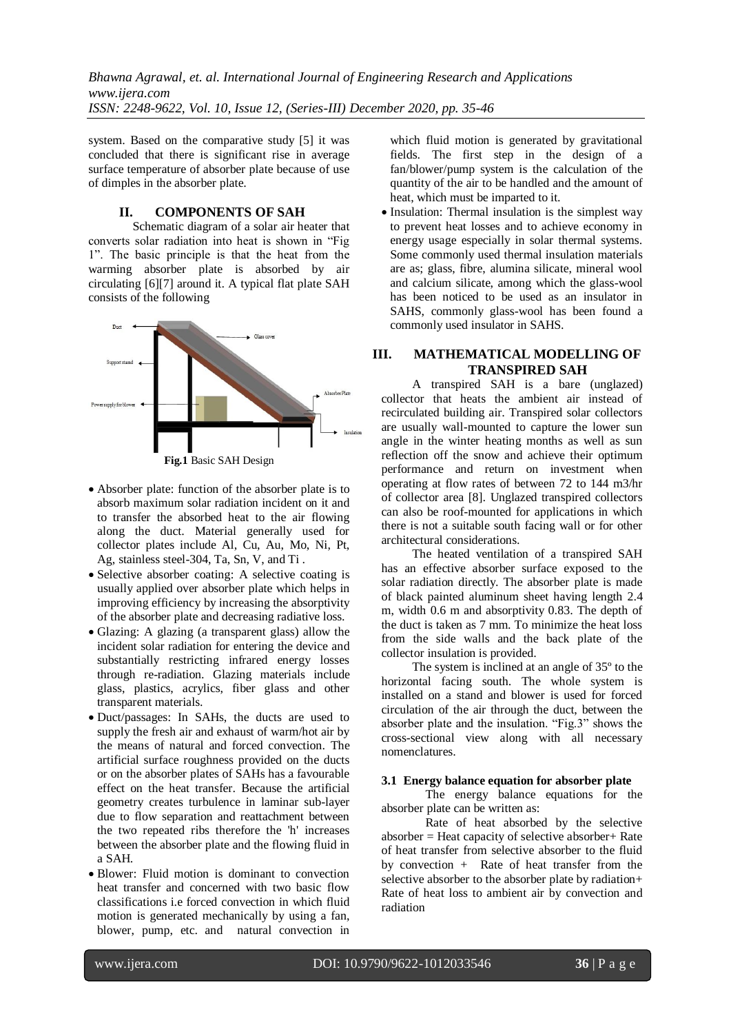system. Based on the comparative study [5] it was concluded that there is significant rise in average surface temperature of absorber plate because of use of dimples in the absorber plate.

### **II. COMPONENTS OF SAH**

Schematic diagram of a solar air heater that converts solar radiation into heat is shown in "Fig 1". The basic principle is that the heat from the warming absorber plate is absorbed by air circulating [6][7] around it. A typical flat plate SAH consists of the following



**Fig.1** Basic SAH Design

- Absorber plate: function of the absorber plate is to absorb maximum solar radiation incident on it and to transfer the absorbed heat to the air flowing along the duct. Material generally used for collector plates include Al, Cu, Au, Mo, Ni, Pt, Ag, stainless steel-304, Ta, Sn, V, and Ti .
- Selective absorber coating: A selective coating is usually applied over absorber plate which helps in improving efficiency by increasing the absorptivity of the absorber plate and decreasing radiative loss.
- Glazing: A glazing (a transparent glass) allow the incident solar radiation for entering the device and substantially restricting infrared energy losses through re-radiation. Glazing materials include glass, plastics, acrylics, fiber glass and other transparent materials.
- Duct/passages: In SAHs, the ducts are used to supply the fresh air and exhaust of warm/hot air by the means of natural and forced convection. The artificial surface roughness provided on the ducts or on the absorber plates of SAHs has a favourable effect on the heat transfer. Because the artificial geometry creates turbulence in laminar sub-layer due to flow separation and reattachment between the two repeated ribs therefore the 'h' increases between the absorber plate and the flowing fluid in a SAH.
- Blower: Fluid motion is dominant to convection heat transfer and concerned with two basic flow classifications i.e forced convection in which fluid motion is generated mechanically by using a fan, blower, pump, etc. and natural convection in

which fluid motion is generated by gravitational fields. The first step in the design of a fan/blower/pump system is the calculation of the quantity of the air to be handled and the amount of heat, which must be imparted to it.

• Insulation: Thermal insulation is the simplest way to prevent heat losses and to achieve economy in energy usage especially in solar thermal systems. Some commonly used thermal insulation materials are as; glass, fibre, alumina silicate, mineral wool and calcium silicate, among which the glass-wool has been noticed to be used as an insulator in SAHS, commonly glass-wool has been found a commonly used insulator in SAHS.

# **III. MATHEMATICAL MODELLING OF TRANSPIRED SAH**

A transpired SAH is a bare (unglazed) collector that heats the ambient air instead of recirculated building air. Transpired solar collectors are usually wall-mounted to capture the lower sun angle in the winter heating months as well as sun reflection off the snow and achieve their optimum performance and return on investment when operating at flow rates of between 72 to 144 m3/hr of collector area [8]. Unglazed transpired collectors can also be roof-mounted for applications in which there is not a suitable south facing wall or for other architectural considerations.

The heated ventilation of a transpired SAH has an effective absorber surface exposed to the solar radiation directly. The absorber plate is made of black painted aluminum sheet having length 2.4 m, width 0.6 m and absorptivity 0.83. The depth of the duct is taken as 7 mm. To minimize the heat loss from the side walls and the back plate of the collector insulation is provided.

The system is inclined at an angle of 35º to the horizontal facing south. The whole system is installed on a stand and blower is used for forced circulation of the air through the duct, between the absorber plate and the insulation. "Fig.3" shows the cross-sectional view along with all necessary nomenclatures.

#### **3.1 Energy balance equation for absorber plate**

The energy balance equations for the absorber plate can be written as:

Rate of heat absorbed by the selective absorber = Heat capacity of selective absorber+ Rate of heat transfer from selective absorber to the fluid by convection + Rate of heat transfer from the selective absorber to the absorber plate by radiation+ Rate of heat loss to ambient air by convection and radiation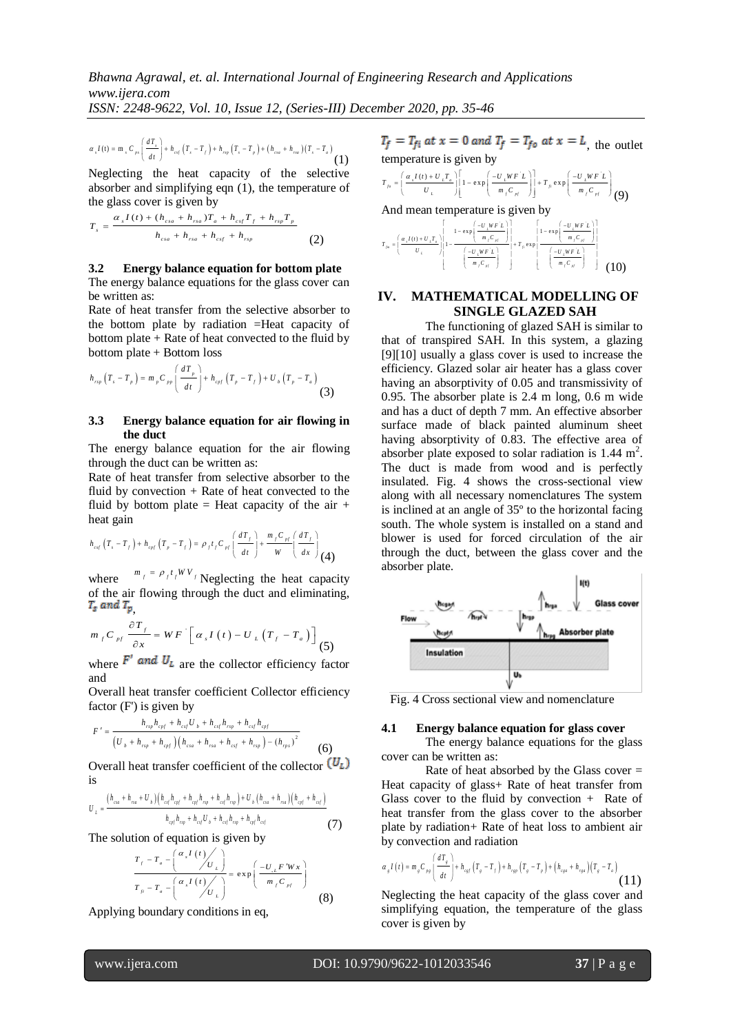*ISSN: 2248-9622, Vol. 10, Issue 12, (Series-III) December 2020, pp. 35-46*

$$
\alpha_{s} I(t) = m_{s} C_{ps} \left( \frac{dT_{s}}{dt} \right) + h_{csf} \left( T_{s} - T_{f} \right) + h_{sp} \left( T_{s} - T_{p} \right) + \left( h_{csa} + h_{ra} \right) \left( T_{s} - T_{a} \right)
$$
\n(1)

Neglecting the heat capacity of the selective absorber and simplifying eqn (1), the temperature of

the glass cover is given by  
\n
$$
T_s = \frac{\alpha_s I(t) + (h_{csa} + h_{rsa})T_a + h_{csf}T_f + h_{rsp}T_p}{h_{csa} + h_{rsa} + h_{csf} + h_{rsp}}
$$
\n(2)

#### **3.2 Energy balance equation for bottom plate**

The energy balance equations for the glass cover can be written as:

 $f^{(t)} = m_i c_n \left( \frac{aT_i}{dt} \right) + b_m (T_i - T_i) + b_m (T_i - T_i) + (b_m + b_m) (T_i - T_i)$ <br>
deglecting the heat capacity of the select<br>
besorber and simplifying eqn (1), the temperature<br>
legeting the heat capacity of the select<br>
besorber as ignoring Rate of heat transfer from the selective absorber to the bottom plate by radiation =Heat capacity of bottom plate  $+$  Rate of heat convected to the fluid by

bottom plate + Bottom loss  
\n
$$
h_{rsp} (T_s - T_p) = m_p C_{pp} \left( \frac{dT_p}{dt} \right) + h_{cpf} (T_p - T_f) + U_b (T_p - T_a)
$$
\n(3)

#### **3.3 Energy balance equation for air flowing in the duct**

The energy balance equation for the air flowing through the duct can be written as:

Rate of heat transfer from selective absorber to the fluid by convection + Rate of heat convected to the fluid by bottom plate = Heat capacity of the air  $+$ heat gain

heat gain  
\n
$$
h_{\text{cyl}}(T_s - T_f) + h_{\text{cyl}}(T_p - T_f) = \rho_f t_f C_{\text{pl}} \left( \frac{dT_f}{dt} \right) + \frac{m_f C_{\text{pl}}}{W} \left( \frac{dT_f}{dx} \right)
$$
\n(4)

where  $m_f = \rho_f t_f W V_f$  Neglecting the heat capacity of the air flowing through the duct and eliminating,  $T_s$  and  $T_p$ 

$$
m_{f}C_{pf} \frac{\partial T_{f}}{\partial x} = WF \left[ \alpha_{s}I(t) - U_{L}(T_{f} - T_{a}) \right] \tag{5}
$$

where  $F'$  and  $U_L$  are the collector efficiency factor and

Overall heat transfer coefficient Collector efficiency

factor (F') is given by  
\n
$$
F' = \frac{h_{rep}h_{cpt} + h_{est}U_b + h_{est}h_{rep} + h_{est}h_{epf}}{(U_b + h_{rep} + h_{epf})(h_{ca} + h_{ra} + h_{est} + h_{ep} - (h_{ep})^2}
$$
\n(6)

Overall heat transfer coefficient of the collector  $(U_L)$ is

is  
\n
$$
U_{L} = \frac{(h_{csa} + h_{ras} + U_{b})(h_{csf}h_{cpf} + h_{cyf}h_{top} + h_{csf}h_{top}) + U_{b}(h_{csa} + h_{ras})(h_{cpf} + h_{csf})}{h_{cyf}h_{np} + h_{csf}U_{b} + h_{csf}h_{mp} + h_{cyf}h_{csf}}
$$
\n(7)

The solution of equation is given by<br> $T = T - \left(\frac{\alpha_s I(t)}{2}\right)$ 

$$
\frac{T_f - T_a - \left(\frac{\alpha_s I(t)}{U_L}\right)}{T_B - T_a - \left(\frac{\alpha_s I(t)}{U_L}\right)} = \exp\left(\frac{-U_{.L} F' W x}{m_f C_{.pl}}\right)
$$
\n(8)

Applying boundary conditions in eq,

 $T_f = T_{fi}$  at  $x = 0$  and  $T_f = T_{fo}$  at  $x = L$ , the outlet

temperature is given by  
\n
$$
T_{f\circ} = \left(\frac{\alpha_{r}I(t) + U_{r}T_{a}}{U_{L}}\right)\left[1 - \exp\left(\frac{-U_{L}WF^{T}L}{m_{f}C_{H}}\right)\right] + T_{f\circ}\exp\left(\frac{-U_{L}WF^{T}L}{m_{f}C_{H}}\right)
$$
\n(9)

And mean temperature is given by  
\n
$$
r_{\scriptscriptstyle{f_{\scriptscriptstyle{m}}} = \left(\frac{\alpha_{\scriptscriptstyle{I}}I(t) + U_{\scriptscriptstyle{I}}T_{\scriptscriptstyle{2}}}{U_{\scriptscriptstyle{L}}}\right)\left|1 - \frac{1 - \exp\left(\frac{-U_{\scriptscriptstyle{I}}WF_{\scriptscriptstyle{L}}}{m_{\scriptscriptstyle{I}}C_{\scriptscriptstyle{H}}}\right)}{\left(\frac{-U_{\scriptscriptstyle{I}}WF_{\scriptscriptstyle{L}}}{m_{\scriptscriptstyle{I}}C_{\scriptscriptstyle{H}}}\right)}\right| + T_{\scriptscriptstyle{F}} \exp\left(\frac{-U_{\scriptscriptstyle{I}}WF_{\scriptscriptstyle{L}}}{m_{\scriptscriptstyle{I}}C_{\scriptscriptstyle{H}}}\right)}
$$
\n
$$
(10)
$$

# **IV. MATHEMATICAL MODELLING OF SINGLE GLAZED SAH**

The functioning of glazed SAH is similar to that of transpired SAH. In this system, a glazing [9][10] usually a glass cover is used to increase the efficiency. Glazed solar air heater has a glass cover having an absorptivity of 0.05 and transmissivity of 0.95. The absorber plate is 2.4 m long, 0.6 m wide and has a duct of depth 7 mm. An effective absorber surface made of black painted aluminum sheet having absorptivity of 0.83. The effective area of absorber plate exposed to solar radiation is  $1.44 \text{ m}^2$ . The duct is made from wood and is perfectly insulated. Fig. 4 shows the cross-sectional view along with all necessary nomenclatures The system is inclined at an angle of 35º to the horizontal facing south. The whole system is installed on a stand and blower is used for forced circulation of the air through the duct, between the glass cover and the absorber plate.



Fig. 4 Cross sectional view and nomenclature

#### **4.1 Energy balance equation for glass cover**

The energy balance equations for the glass cover can be written as:

Rate of heat absorbed by the Glass cover  $=$ Heat capacity of glass+ Rate of heat transfer from Glass cover to the fluid by convection  $+$  Rate of heat transfer from the glass cover to the absorber plate by radiation+ Rate of heat loss to ambient air

by convection and radiation  
\n
$$
\alpha_{s}I(t) = m_{s}C_{rs} \left(\frac{dT_{s}}{dt}\right) + h_{\text{cyl}}(T_{s} - T_{f}) + h_{\text{cyl}}(T_{s} - T_{p}) + (h_{\text{cgs}} + h_{\text{rgs}})(T_{s} - T_{a})
$$
\n(11)

Neglecting the heat capacity of the glass cover and simplifying equation, the temperature of the glass cover is given by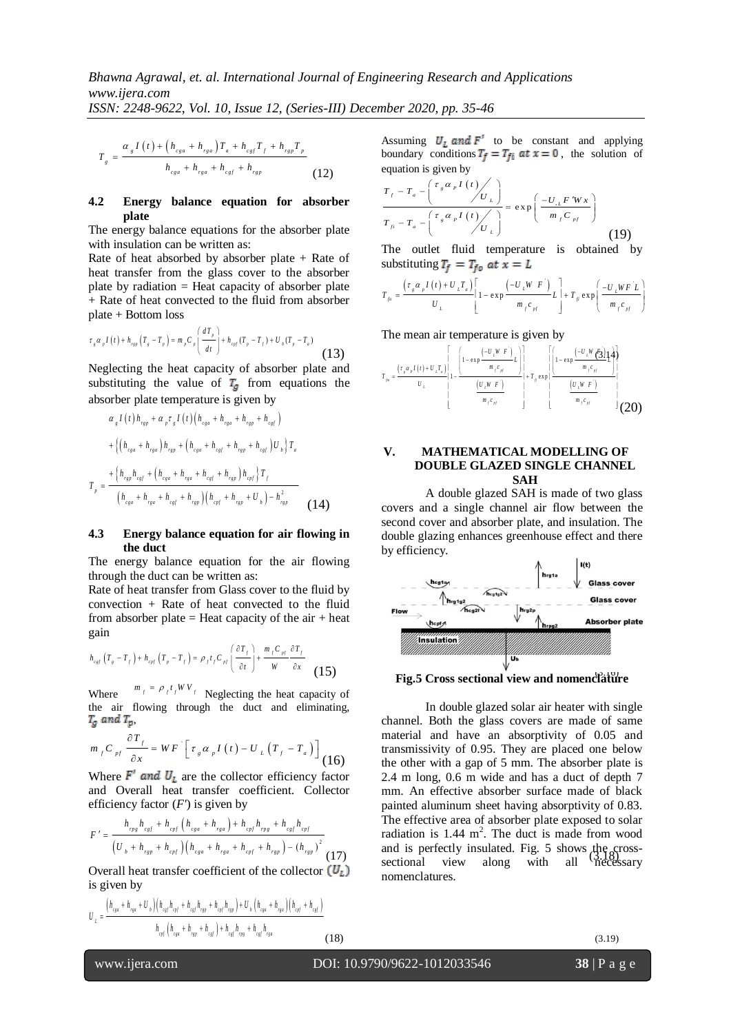$$
T_{g} = \frac{\alpha_{g} I(t) + (h_{cga} + h_{rga}) T_{a} + h_{cgf} T_{f} + h_{rgp} T_{p}}{h_{cga} + h_{rga} + h_{cg} + h_{rgp}} \tag{12}
$$

#### **4.2 Energy balance equation for absorber plate**

The energy balance equations for the absorber plate with insulation can be written as:

Rate of heat absorbed by absorber plate  $+$  Rate of heat transfer from the glass cover to the absorber plate by radiation  $=$  Heat capacity of absorber plate + Rate of heat convected to the fluid from absorber plate + Bottom loss

plate + Bottom loss  
\n
$$
\tau_s \alpha_{\rho} I(t) + h_{\text{sg}} \left( T_s - T_{\rho} \right) = m_{\rho} C_{\rho} \left( \frac{dT_{\rho}}{dt} \right) + h_{\text{cr}} \left( T_{\rho} - T_f \right) + U_{\rho} \left( T_{\rho} - T_a \right) \tag{13}
$$

Neglecting the heat capacity of absorber plate and substituting the value of  $T_a$  from equations the

absorber plate temperature is given by  
\n
$$
\alpha_{s} I(t) h_{rsp} + \alpha_{p} \tau_{s} I(t) (h_{csa} + h_{rsa} + h_{rsp} + h_{csf})
$$
\n
$$
+ \{ (h_{csa} + h_{rsa}) h_{rsp} + (h_{csa} + h_{csf} + h_{rsp} + h_{csf}) U_{b} \} T_{a}
$$
\n
$$
T_{p} = \frac{+ \{ h_{rsp} h_{csf} + (h_{csa} + h_{rsa} + h_{csf} + h_{rsp}) h_{cpf} \} T_{f}}{(h_{csa} + h_{rsa} + h_{csf} + h_{rsp}) (h_{cpf} + h_{rsp} + U_{b}) - h_{rsp}^{2}}
$$
\n(14)

#### **4.3 Energy balance equation for air flowing in the duct**

The energy balance equation for the air flowing through the duct can be written as:

Rate of heat transfer from Glass cover to the fluid by convection + Rate of heat convected to the fluid from absorber plate  $=$  Heat capacity of the air  $+$  heat gain

gain  

$$
h_{\text{csf}}\left(T_{s}-T_{f}\right)+h_{\text{cpf}}\left(T_{p}-T_{f}\right)=\rho_{f}t_{f}C_{\text{pr}}\left(\frac{\partial T_{f}}{\partial t}\right)+\frac{m_{f}C_{\text{pr}}}{W}\frac{\partial T_{f}}{\partial x}
$$
(15)

Where  $m_f = \rho_f t_f W V_f$  Neglecting the heat capacity of the air flowing through the duct and eliminating,  $T_q$  and  $T_p$ ,

$$
m_{f}C_{pf} \frac{\partial T_{f}}{\partial x} = WF \left[ \tau_{g} \alpha_{p} I(t) - U_{L} \left( T_{f} - T_{a} \right) \right] \tag{16}
$$

Where  $F'$  and  $U_L$  are the collector efficiency factor and Overall heat transfer coefficient. Collector

efficiency factor 
$$
(F')
$$
 is given by  
\n
$$
F' = \frac{h_{\text{rps}} h_{\text{csf}} + h_{\text{cpf}} \left( h_{\text{cgs}} + h_{\text{rgs}} \right) + h_{\text{cpf}} h_{\text{rps}} + h_{\text{csf}} h_{\text{cpf}}}{\left( U_b + h_{\text{rsp}} + h_{\text{cpf}} \right) \left( h_{\text{cgs}} + h_{\text{rgs}} + h_{\text{cpf}} + h_{\text{cpf}} + h_{\text{rsp}} \right) - \left( h_{\text{rsp}} \right)^2}
$$
\n(17)

Overall heat transfer coefficient of the collector  $(U_L)$ is given by

$$
U_{L} = \frac{\left(h_{cgs} + h_{rgs} + U_{b}\right)\left(h_{cgf}h_{cpf} + h_{cgf}h_{rgs} + h_{cpf}h_{rgs}\right) + U_{b}\left(h_{cgs} + h_{rgs}\right)\left(h_{cpf} + h_{cgf}\right)}{h_{cpf}\left(h_{cgs} + h_{rgs} + h_{cgf}\right) + h_{cgf}h_{rgs} + h_{csf}h_{rgs}}
$$
(18)

Assuming  $U_L$  and  $F'$  to be constant and applying boundary conditions  $T_f = T_{fi}$  at  $x = 0$ , the solution of

equation is given by  
\n
$$
\frac{T_f - T_a - \left(\frac{\tau_s \alpha_p I(t)}{U_L}\right)}{T_{f_i} - T_a - \left(\frac{\tau_s \alpha_p I(t)}{U_L}\right)} = \exp\left(\frac{-U_{f_i} F' W x}{m_f C_{pf}}\right)}
$$
\n(19)

The outlet fluid temperature is obtained by

substituting 
$$
T_f = T_{fo}
$$
 at  $x = L$   
\n
$$
T_{fo} = \frac{\left(\tau_s \alpha_p I(t) + U_t T_a\right)}{U_L} \left[1 - \exp \frac{\left(-U_L W F\right)}{m_f c_{pf}} L \right] + T_{fo} \exp \left(\frac{-U_L W F L}{m_f c_{pf}}\right)
$$

The mean air temperature is given by  
\n(13)  
\n
$$
\begin{array}{r}\n\text{(13)} \\
\text{at the and} \\
\text{on the} \\
\text{in the} \\
\text{(1.1)}\n\end{array}
$$
\n
$$
\begin{bmatrix}\n\left[1 - \exp\left(\frac{-U_L W F}{m_f c_H}\right)\right] \\
\left[1 - \exp\left(\frac{-U_L W G}{m_f c_H}\right)\right] \\
\left[1 - \exp\left(\frac{-U_L W G}{m_f c_H}\right)\right] \\
\left[1 - \exp\left(\frac{U_L W F}{m_f c_H}\right)\right]\n\end{bmatrix}
$$
\n
$$
\begin{bmatrix}\n\left[1 - \exp\left(\frac{-U_L W G}{m_f c_H}\right)\right] \\
\left[1 - \exp\left(\frac{U_L W F}{m_f c_H}\right)\right] \\
\left[1 - \exp\left(\frac{U_L W F}{m_f c_H}\right)\right]\n\end{bmatrix}
$$
\n(20)

#### **V. MATHEMATICAL MODELLING OF DOUBLE GLAZED SINGLE CHANNEL SAH**

A double glazed SAH is made of two glass covers and a single channel air flow between the second cover and absorber plate, and insulation. The double glazing enhances greenhouse effect and there by efficiency.



(15) (3.16) **Fig.5 Cross sectional view and nomenclature**

(17) and is perfectly insulated. Fig. 5 shows the cross-In double glazed solar air heater with single channel. Both the glass covers are made of same material and have an absorptivity of 0.05 and transmissivity of 0.95. They are placed one below the other with a gap of 5 mm. The absorber plate is 2.4 m long, 0.6 m wide and has a duct of depth 7 mm. An effective absorber surface made of black painted aluminum sheet having absorptivity of 0.83. The effective area of absorber plate exposed to solar radiation is  $1.44 \text{ m}^2$ . The duct is made from wood sectional view along with all necessary nomenclatures.

l

www.ijera.com DOI: 10.9790/9622-1012033546 **38** | P a g e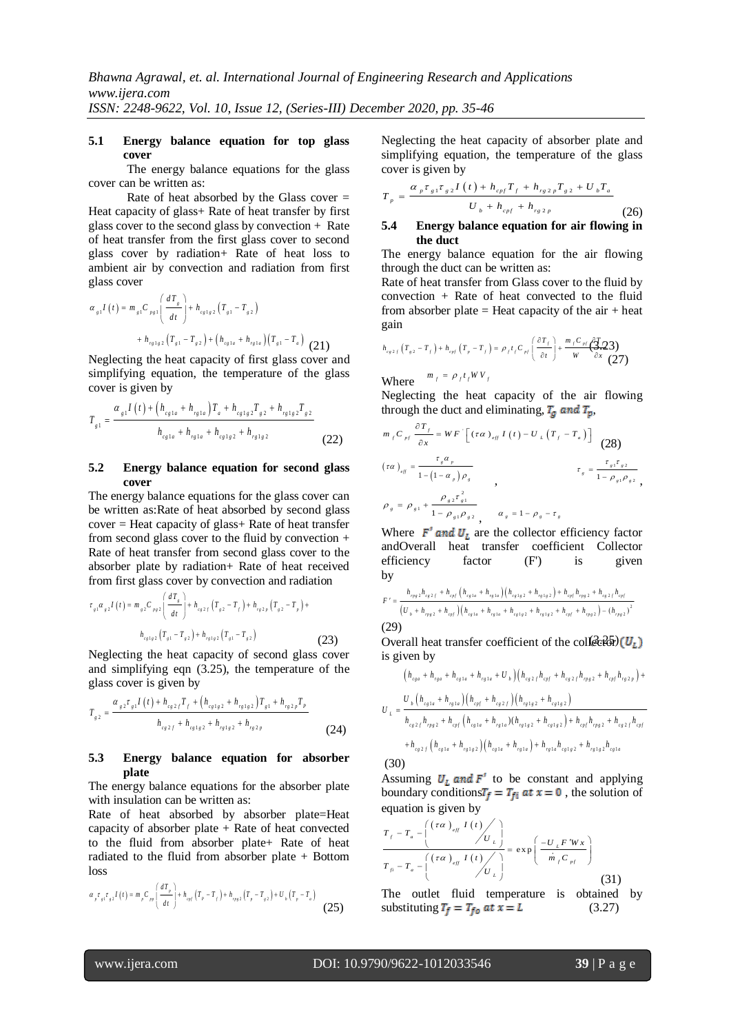#### **5.1 Energy balance equation for top glass cover**

The energy balance equations for the glass cover can be written as:

Rate of heat absorbed by the Glass cover = Heat capacity of glass+ Rate of heat transfer by first glass cover to the second glass by convection + Rate of heat transfer from the first glass cover to second glass cover by radiation+ Rate of heat loss to ambient air by convection and radiation from first glass cover

glass cover  
\n
$$
\alpha_{s1}I(t) = m_{s1}C_{p_{s1}}\left(\frac{dT_s}{dt}\right) + h_{c_{s1s2}}(T_{s1} - T_{s2})
$$
\n
$$
+ h_{r_{s1s2}}(T_{s1} - T_{s2}) + (h_{c_{s1a}} + h_{r_{s1a}})(T_{s1} - T_a)
$$
 (21)

Neglecting the heat capacity of first glass cover and simplifying equation, the temperature of the glass cover is given by

Cover is given by  
\n
$$
T_{g1} = \frac{\alpha_{g1} I(t) + (h_{cgla} + h_{rg1a}) T_a + h_{cg1g2} T_{g2} + h_{rg1g2} T_{g2}}{h_{cg1a} + h_{rg1a} + h_{cg1g2} + h_{rg1g2}}
$$
\n(22)

#### **5.2 Energy balance equation for second glass cover**

The energy balance equations for the glass cover can be written as:Rate of heat absorbed by second glass  $cover = Heat capacity of glass + Rate of heat transfer$ from second glass cover to the fluid by convection  $+$ Rate of heat transfer from second glass cover to the absorber plate by radiation+ Rate of heat received

from first glass cover by convection and radiation  
\n
$$
\tau_{st} \alpha_{s2} I(t) = m_{s2} C_{ps2} \left( \frac{dT_s}{dt} \right) + h_{cs2} \left( T_{s2} - T_f \right) + h_{cs2} \left( T_{s2} - T_s \right) + h_{cs2} \left( T_{s1} - T_{s2} \right)
$$
\n
$$
h_{cs2} \left( T_{s1} - T_{s2} \right) + h_{cs2} \left( T_{s1} - T_{s2} \right) \tag{23}
$$

Neglecting the heat capacity of second glass cover and simplifying eqn (3.25), the temperature of the

glass cover is given by  
\n
$$
T_{g2} = \frac{\alpha_{g2} \tau_{g1} I(t) + h_{cg2} I f f + (h_{cg1g2} + h_{rg1g2}) T_{g1} + h_{rg2p} T_p}{h_{cg2f} + h_{cg1g2} + h_{rg1g2} + h_{rg2p}}
$$
\n(24)

#### **5.3 Energy balance equation for absorber plate**

The energy balance equations for the absorber plate with insulation can be written as:

Rate of heat absorbed by absorber plate=Heat capacity of absorber plate  $+$  Rate of heat convected to the fluid from absorber plate+ Rate of heat radiated to the fluid from absorber plate + Bottom loss

loss  
\n
$$
\alpha_{p^{\tau}z_1 \tau_{z2} I}(t) = m_{p} C_{pp} \left( \frac{dT_{p}}{dt} \right) + h_{opt} (T_{p} - T_{f}) + h_{\eta z2} (T_{p} - T_{z2}) + U_{b} (T_{p} - T_{a})
$$
\n(25)

Neglecting the heat capacity of absorber plate and simplifying equation*,* the temperature of the glass cover is given by

cover is given by  
\n
$$
T_{p} = \frac{\alpha_{p} \tau_{g1} \tau_{g2} I(t) + h_{cpf} T_{f} + h_{rg2p} T_{g2} + U_{b} T_{a}}{U_{b} + h_{cpf} + h_{rg2p}}
$$
\n(26)

### **5.4 Energy balance equation for air flowing in the duct**

The energy balance equation for the air flowing through the duct can be written as:

Rate of heat transfer from Glass cover to the fluid by convection + Rate of heat convected to the fluid from absorber plate  $=$  Heat capacity of the air  $+$  heat gain

(21) gain  
\n
$$
h_{ex2f}(T_{sz}-T_f)+h_{exf}(T_s-T_f)=\rho_f t_f C_{pf}\left(\frac{\partial T_f}{\partial t}\right)+\frac{m_f C_{pf}}{W}\frac{\partial T_f}{\partial x}
$$
\n(27)

Where  $m_f = \rho_f t_f W V_f$ 

Neglecting the heat capacity of the air flowing through the duct and eliminating,  $T_a$  and  $T_p$ ,

$$
\int_{m_{f}C_{pf}} \frac{\partial T_{f}}{\partial x} = WF \left[ (\tau \alpha)_{eff} I(t) - U_{L} (T_{f} - T_{a}) \right]
$$
\n
$$
(\tau \alpha)_{eff} = \frac{\tau_{g} \alpha_{p}}{1 - (1 - \alpha_{p}) \rho_{g}} \qquad \tau_{g} = \frac{\tau_{g1} \tau_{g2}}{1 - \rho_{g1} \rho_{g2}},
$$
\n
$$
\rho_{g} = \rho_{g1} + \frac{\rho_{g2} \tau_{g1}^{2}}{1 - \rho_{g1} \rho_{g2}}, \qquad \alpha_{g} = 1 - \rho_{g} - \tau_{g}
$$
\n
$$
(28)
$$

Where  $F'$  and  $U_L$  are the collector efficiency factor andOverall heat transfer coefficient Collector efficiency factor (F') is given by

by  
\n
$$
F' = \frac{h_{\eta_{g2}}h_{\epsilon_{g2}f} + h_{\varphi f} \left(h_{\epsilon_{g1a}} + h_{\eta_{1a}}\right) \left(h_{\epsilon_{g1g2}} + h_{\eta_{1g2}}\right) + h_{\varphi f} h_{\eta_{g2}} + h_{\epsilon_{g2}f} h_{\varphi f}}{\left(U_{b} + h_{\eta_{g2}} + h_{\varphi f}\right) \left(h_{\epsilon_{g1a}} + h_{\eta_{21a}} + h_{\epsilon_{g1g2}} + h_{\eta_{1g2}} + h_{\varphi f} + h_{\eta_{g2}}\right) - \left(h_{\eta_{g2}}\right)^{2}}
$$
\n(29)

(23) Overall heat transfer coefficient of the collector) is given by

is given by  
\n
$$
\left(h_{c_{g}a} + h_{r_{g}a} + h_{c_{g}1a} + h_{r_{g}1a} + U_{b}\right)\left(h_{c_{g}2f}h_{c_{pf}} + h_{c_{g}2f}h_{r_{pg}2} + h_{c_{pf}}h_{r_{g}2p}\right) +
$$
\n
$$
U_{L} = \frac{U_{b}\left(h_{c_{g}1a} + h_{r_{g}1a}\right)\left(h_{c_{pf}f} + h_{c_{g}2f}\right)\left(h_{r_{g}1g2} + h_{c_{g}1g2}\right)}{h_{c_{g}2f}h_{r_{pg}2} + h_{c_{pf}}\left(h_{c_{g}1a} + h_{r_{g}1a}\right)\left(h_{r_{g}1g2} + h_{c_{g}1g2}\right) + h_{c_{pf}f}h_{r_{pg}2} + h_{c_{g}2f}h_{c_{pf}}}
$$
\n
$$
+ h_{c_{g}2f}\left(h_{c_{g}1a} + h_{r_{g}1g2}\right)\left(h_{c_{g}1a} + h_{r_{g}1a}\right) + h_{r_{g}1a}h_{c_{g}1g2} + h_{r_{g}1g2}h_{c_{g}1a}
$$
\n(30)

Assuming  $U_L$  and  $F'$  to be constant and applying boundary conditions  $T_f = T_{fi}$  at  $x = 0$ , the solution of

equation is given by  
\n
$$
\frac{T_f - T_a - \left(\frac{(\tau \alpha)_{\text{eff}} I(t)}{U_L}\right)}{T_{\text{eff}} - T_a - \left(\frac{(\tau \alpha)_{\text{eff}} I(t)}{U_L}\right)} = \exp\left(\frac{-U_L F' W x}{\dot{m}_f C_{\text{pf}}}\right)}
$$
\n(31)

(25) substituting  $T_f = T_{fo}$  at  $x = L$  (3.27) The outlet fluid temperature is obtained by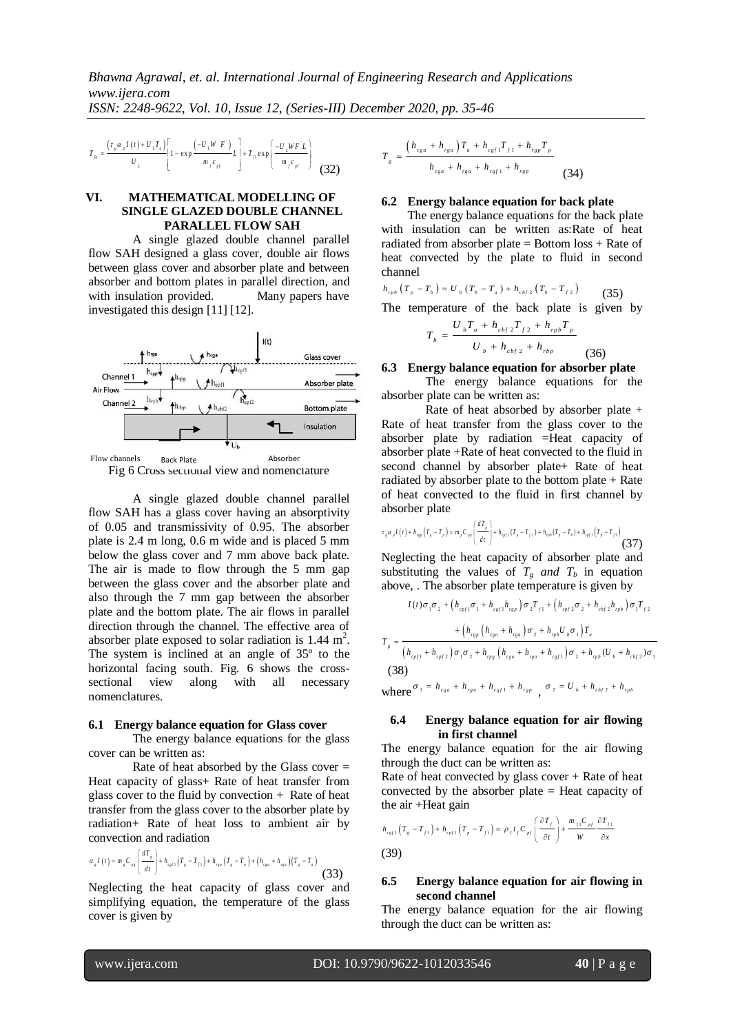$$
T_{j_0} = \frac{\left(\tau_{\varepsilon} \alpha_{\varepsilon} I\left(t\right) + U_{L} T_{\varepsilon}\right)}{U_{L}} \left[1 - \exp\left(\frac{-U_{L} W_{\varepsilon} F}{m_{f} c_{\varepsilon f}} L\right) + T_{\varepsilon} \exp\left(\frac{-U_{L} W F^{'} L}{m_{f} c_{\varepsilon f}}\right)\right]
$$
(32)

#### **VI. MATHEMATICAL MODELLING OF SINGLE GLAZED DOUBLE CHANNEL PARALLEL FLOW SAH**

A single glazed double channel parallel flow SAH designed a glass cover, double air flows between glass cover and absorber plate and between absorber and bottom plates in parallel direction, and with insulation provided. Many papers have investigated this design [11] [12].





 $\frac{1}{w_e} = \frac{\sum_{m} \frac{1}{m_e} \left(1 + b \frac{m_e}{L_e}\right)}{w_e}$ <br>  $\frac{1}{w_e} = \frac{\sum_{m} \frac{1}{m_e} \left(1 + b \frac{m_e}{L_e}\right)}{m_e}$ <br>
1. **MATHEMATICAL**<br>
SINGLE GLAZED D<br>
A single glazed de<br>
A single glazed delse<br>
telveen glass cover and absorber and absorbe A single glazed double channel parallel flow SAH has a glass cover having an absorptivity of 0.05 and transmissivity of 0.95. The absorber plate is 2.4 m long, 0.6 m wide and is placed 5 mm below the glass cover and 7 mm above back plate. The air is made to flow through the 5 mm gap between the glass cover and the absorber plate and also through the 7 mm gap between the absorber plate and the bottom plate. The air flows in parallel direction through the channel. The effective area of absorber plate exposed to solar radiation is  $1.44 \text{ m}^2$ . The system is inclined at an angle of 35º to the horizontal facing south. Fig. 6 shows the crosssectional view along with all necessary nomenclatures.

#### **6.1 Energy balance equation for Glass cover**

The energy balance equations for the glass cover can be written as:

Rate of heat absorbed by the Glass cover  $=$ Heat capacity of glass+ Rate of heat transfer from glass cover to the fluid by convection + Rate of heat transfer from the glass cover to the absorber plate by radiation+ Rate of heat loss to ambient air by

convection and radiation  
\n
$$
\alpha_z I(t) = m_z C_{pq} \left( \frac{dT_z}{dt} \right) + h_{\alpha z1} (T_z - T_{z1}) + h_{\alpha z} (T_z - T_p) + (h_{\alpha z} + h_{\alpha z}) (T_z - T_z)
$$
\n(33)

Neglecting the heat capacity of glass cover and simplifying equation, the temperature of the glass cover is given by

$$
T_{g} = \frac{\left(h_{cga} + h_{rga}\right)T_{a} + h_{cgf1}T_{f1} + h_{rgp}T_{p}}{h_{cga} + h_{rga} + h_{cgf1} + h_{rgp}}
$$
(34)

#### **6.2 Energy balance equation for back plate**

The energy balance equations for the back plate with insulation can be written as:Rate of heat radiated from absorber plate = Bottom loss + Rate of heat convected by the plate to fluid in second channel

channel  

$$
h_{\rho b} (T_p - T_b) = U_b (T_b - T_a) + h_{cb/2} (T_b - T_{f2})
$$
(35)

The temperature of the back plate is given by

$$
T_b = \frac{U_b T_a + h_{cbf2} T_{f2} + h_{rpb} T_p}{U_b + h_{cbf2} + h_{rbp}}
$$
(36)

**6.3 Energy balance equation for absorber plate**

The energy balance equations for the absorber plate can be written as:

Rate of heat absorbed by absorber plate + Rate of heat transfer from the glass cover to the absorber plate by radiation =Heat capacity of absorber plate +Rate of heat convected to the fluid in second channel by absorber plate+ Rate of heat radiated by absorber plate to the bottom plate  $+$  Rate of heat convected to the fluid in first channel by

absorber plate  

$$
\tau_{r} \alpha_{r} I(t) + h_{rsr} (T_{s} - T_{r}) = m_{r} C_{rs} \left( \frac{dT_{r}}{dt} \right) + h_{rsr1} (T_{r} - T_{r2}) + h_{rsr} (T_{r} - T_{s}) + h_{rgr1} (T_{r} - T_{r1})
$$
(37)

Neglecting the heat capacity of absorber plate and substituting the values of  $T_g$  *and*  $T_b$  in equation

above, . The absorber plate temperature is given by  
\n
$$
I(t)\sigma_1\sigma_2 + (h_{\text{cpf1}}\sigma_1 + h_{\text{cgf1}}h_{\text{rgp}})\sigma_2T_{f1} + (h_{\text{cpf2}}\sigma_2 + h_{\text{cbf2}}h_{\text{rpb}})\sigma_1T_{f2}
$$
\n
$$
T_p = \frac{+ (h_{\text{rgp}}(h_{\text{cga}} + h_{\text{rga}})\sigma_2 + h_{\text{rpb}}U_{\text{b}}\sigma_1)T_a}{(h_{\text{cpf1}} + h_{\text{cpf2}})\sigma_1\sigma_2 + h_{\text{rpg}}(h_{\text{cga}} + h_{\text{rga}} + h_{\text{cgf1}})\sigma_2 + h_{\text{rpb}}(U_{\text{b}} + h_{\text{cbf2}})\sigma_1}
$$
\n(38)

where  $\sigma_1 = h_{c_{ga}} + h_{r_{ga}} + h_{c_{gf1}} + h_{r_{gp}}$ ,  $\sigma_2 = U_b + h_{c_{bf2}} + h_{r_{pb}}$ 

#### **6.4 Energy balance equation for air flowing in first channel**

The energy balance equation for the air flowing through the duct can be written as:

Rate of heat convected by glass cover  $+$  Rate of heat convected by the absorber plate = Heat capacity of the air +Heat gain  $\left(\frac{\partial T_f}{\partial T_f}\right)$   $\frac{m_{f1}C_{pf}}{m_{f2}C_{pf}}$ 

the air +Heat gain  
\n
$$
h_{\text{cyl}}(T_s - T_{f1}) + h_{\text{cyl}}(T_p - T_{f1}) = \rho_f t_f C_{pf} \left(\frac{\partial T_f}{\partial t}\right) + \frac{m_{f1} C_{pf}}{W} \frac{\partial T_{f1}}{\partial x}
$$
\n(39)

#### **6.5 Energy balance equation for air flowing in second channel**

The energy balance equation for the air flowing through the duct can be written as: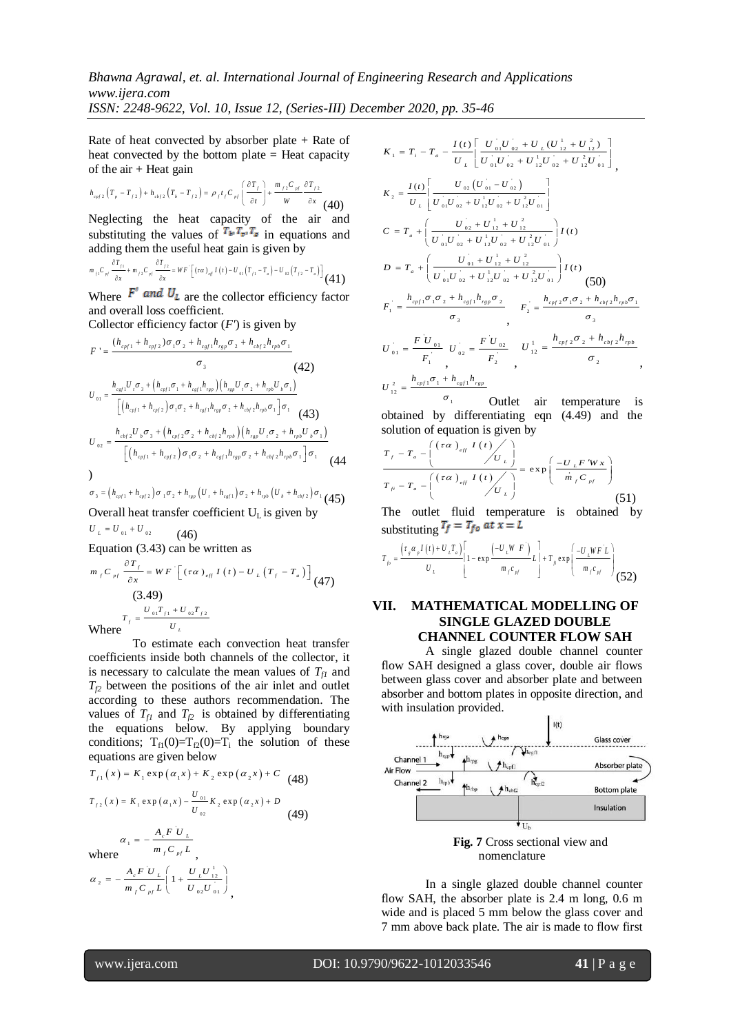# *Bhawna Agrawal, et. al. International Journal of Engineering Research and Applications www.ijera.com*

*ISSN: 2248-9622, Vol. 10, Issue 12, (Series-III) December 2020, pp. 35-46*

Rate of heat convected by absorber plate  $+$  Rate of heat convected by the bottom plate = Heat capacity of the  $air + Heat$  gain

of the air + Heat gain  
\n
$$
h_{cyl2}(T_p - T_{f2}) + h_{cbf2}(T_b - T_{f2}) = \rho_f t_f C_{pl} \left( \frac{\partial T_f}{\partial t} \right) + \frac{m_{f2} C_{pl}}{W} \frac{\partial T_{f2}}{\partial x}
$$
\n(40)

Neglecting the heat capacity of the air and substituting the values of  $T_{\mu}T_{\nu}T_{\nu}$  in equations and

adding them the useful heat gain is given by  
\n
$$
\frac{\partial T_{f1}}{\partial x} + m_{f2}C_{\eta} \frac{\partial T_{f2}}{\partial x} = WF \left[ (\tau \alpha)_{\eta f} I(t) - U_{01}(T_{f1} - T_{\alpha}) - U_{02}(T_{f2} - T_{\alpha}) \right] (41)
$$

Where  $F'$  and  $U_L$  are the collector efficiency factor and overall loss coefficient.

Collector efficiency factor  $(F)$  is given by

Collection of the following equations:

\n
$$
F' = \frac{(h_{cpf1} + h_{cpf2})\sigma_1\sigma_2 + h_{cg1}h_{rgp}\sigma_2 + h_{cbf2}h_{rpb}\sigma_1}{\sigma_3}
$$
\n
$$
U_{01} = \frac{h_{cg1}U_r\sigma_3 + (h_{cpf1}\sigma_1 + h_{cg1}h_{rgp})(h_{rgp}U_r\sigma_2 + h_{rb}U_b\sigma_1)}{[(h_{cpf1} + h_{cpf2})\sigma_1\sigma_2 + h_{cgf1}h_{rgp}\sigma_2 + h_{cbf2}h_{rpb}\sigma_1]\sigma_1}
$$
\n
$$
U_{02} = \frac{h_{cbf2}U_b\sigma_3 + (h_{cpf2}\sigma_2 + h_{cbf2}h_{rpb})(h_{rgp}U_r\sigma_2 + h_{rpb}U_b\sigma_1)}{[(h_{cpf1} + h_{cpf2})\sigma_1\sigma_2 + h_{csf1}h_{rgp}\sigma_2 + h_{cbf2}h_{rpb}\sigma_1]\sigma_1}
$$
\nor, 
$$
J_{03} = (h_{cpf1} + h_{cpf2})\sigma_1\sigma_2 + h_{rgp}(U_r + h_{cgf1})\sigma_2 + h_{rpb}(U_b + h_{cbf2})\sigma_1
$$
\nor, 
$$
J_{03} = (h_{cpf1} + h_{cpf2})\sigma_1\sigma_2 + h_{rgp}(U_r + h_{cgf1})\sigma_2 + h_{rpb}(U_b + h_{cbf2})\sigma_1
$$
\n(45)

$$
\sigma_3 = (h_{\text{opt}} + h_{\text{opt2}}) \sigma_1 \sigma_2 + h_{\text{rep}} (U_1 + h_{\text{est1}}) \sigma_2 + h_{\text{rep}} (U_b + h_{\text{obj2}}) \sigma_1
$$
\nOverall heat transfer coefficient U<sub>L</sub> is given by

 $U_L = U_{01} + U_{02}$  $(46)$ 

Equation (3.43) can be written as

$$
m_{f}C_{pf} \frac{\partial T_{f}}{\partial x} = WF \left[ (\tau \alpha)_{eff} I(t) - U_{L}(T_{f} - T_{a}) \right]
$$
\n(3.49)  
\n
$$
T_{f} = \frac{U_{01}T_{f1} + U_{02}T_{f2}}{U_{L}}
$$
\nWhere

Where

To estimate each convection heat transfer coefficients inside both channels of the collector, it is necessary to calculate the mean values of  $T_f$  and  $T_f$ <sub>2</sub> between the positions of the air inlet and outlet according to these authors recommendation. The values of  $T_f$ <sup>*f* $T_f$ </sup> and  $T_f$ <sup>2</sup> is obtained by differentiating the equations below. By applying boundary conditions;  $T_{f1}(0)=T_{f2}(0)=T_i$  the solution of these

equations are given below  
\n
$$
T_{f1}(x) = K_1 \exp(\alpha_1 x) + K_2 \exp(\alpha_2 x) + C
$$
\n(48)  
\n
$$
T_{f2}(x) = K_1 \exp(\alpha_1 x) - \frac{U_{01}}{U_{02}} K_2 \exp(\alpha_2 x) + D
$$
\n(49)  
\n
$$
\alpha_1 = -\frac{A_c F U_L}{m_f C_{pf} L}
$$
\nwhere  
\n
$$
\alpha_2 = -\frac{A_c F U_L}{m_f C_{pf} L} \left(1 + \frac{U_L U_{12}^{1/2}}{U_{02} U_{01}}\right)
$$

$$
K_{1} = T_{i} - T_{a} - \frac{I(t)\left[\frac{U_{01}U_{02} + U_{L}(U_{12}^{1} + U_{12}^{2})}{U_{01}U_{02} + U_{12}^{1}U_{02} + U_{12}^{2}U_{01}}\right]}{U_{01}U_{02} + U_{12}^{1}U_{02} + U_{12}^{2}U_{01}}\right],
$$
\n
$$
K_{2} = \frac{I(t)\left[\frac{U_{02}(U_{01} - U_{02})}{U_{01}U_{02} + U_{12}^{1}U_{02} + U_{12}^{2}U_{01}}\right]}{U_{01}U_{02} + U_{12}^{1}U_{02} + U_{12}^{2}U_{01}}\right]}.
$$
\n
$$
C = T_{a} + \left(\frac{U_{02} + U_{12}^{1} + U_{12}^{2}U_{02} + U_{12}^{2}U_{01}}{U_{01}U_{02} + U_{12}^{1}U_{02} + U_{12}^{2}U_{01}}\right)I(t)
$$
\n
$$
D = T_{a} + \left(\frac{U_{01} + U_{12}^{1} + U_{12}^{2}U_{02} + U_{12}^{2}U_{01}}{U_{02} + U_{12}^{1}U_{02} + U_{12}^{2}U_{01}}\right)I(t)
$$
\n
$$
F_{1} = \frac{h_{cpf1}\sigma_{1}\sigma_{2} + h_{csf1}h_{rgb}\sigma_{2}}{\sigma_{3}}, \qquad F_{2} = \frac{h_{cpf2}\sigma_{1}\sigma_{2} + h_{cbf2}h_{rp}\sigma_{1}}{\sigma_{3}}
$$
\n
$$
U_{01} = \frac{F U_{01}}{F_{1}}, \qquad U_{02} = \frac{F U_{02}}{F_{2}}, \qquad U_{12}^{1} = \frac{h_{cpf2}\sigma_{2} + h_{cbf2}h_{rp}\sigma_{1}}{\sigma_{2}},
$$
\n
$$
U_{12}^{2} = \frac{h_{cpf1}\sigma_{1} + h_{csf1}h_{rgb}}{F_{12}}
$$

 $\sigma_{_1}$ Outlet air temperature is obtained by differentiating eqn (4.49) and the

solution of equation is given by  
\n
$$
\frac{T_f - T_a - \left(\frac{(\tau \alpha)_{eff} I(t)}{U_L}\right)}{T_B - T_a - \left(\frac{(\tau \alpha)_{eff} I(t)}{U_L}\right)} = \exp\left(\frac{-U_L F' W x}{m_f C_{pf}}\right)}
$$
\n(51)

The outlet fluid temperature is obtained by

substituting 
$$
f = I_{fo}
$$
 at  $x = L$   
\n
$$
T_{fo} = \frac{\left(\tau_s a_p I(t) + U_L T_s\right)}{U_L} \left[1 - \exp\frac{\left(-U_L W F\right)}{m_f c_{pf}} L \right] + T_{fo} \exp\left(\frac{-U_L W F L}{m_f c_{pf}}\right)
$$
\n(52)

#### **VII. MATHEMATICAL MODELLING OF SINGLE GLAZED DOUBLE CHANNEL COUNTER FLOW SAH**

A single glazed double channel counter flow SAH designed a glass cover, double air flows between glass cover and absorber plate and between absorber and bottom plates in opposite direction, and with insulation provided.



In a single glazed double channel counter flow SAH, the absorber plate is 2.4 m long, 0.6 m wide and is placed 5 mm below the glass cover and 7 mm above back plate. The air is made to flow first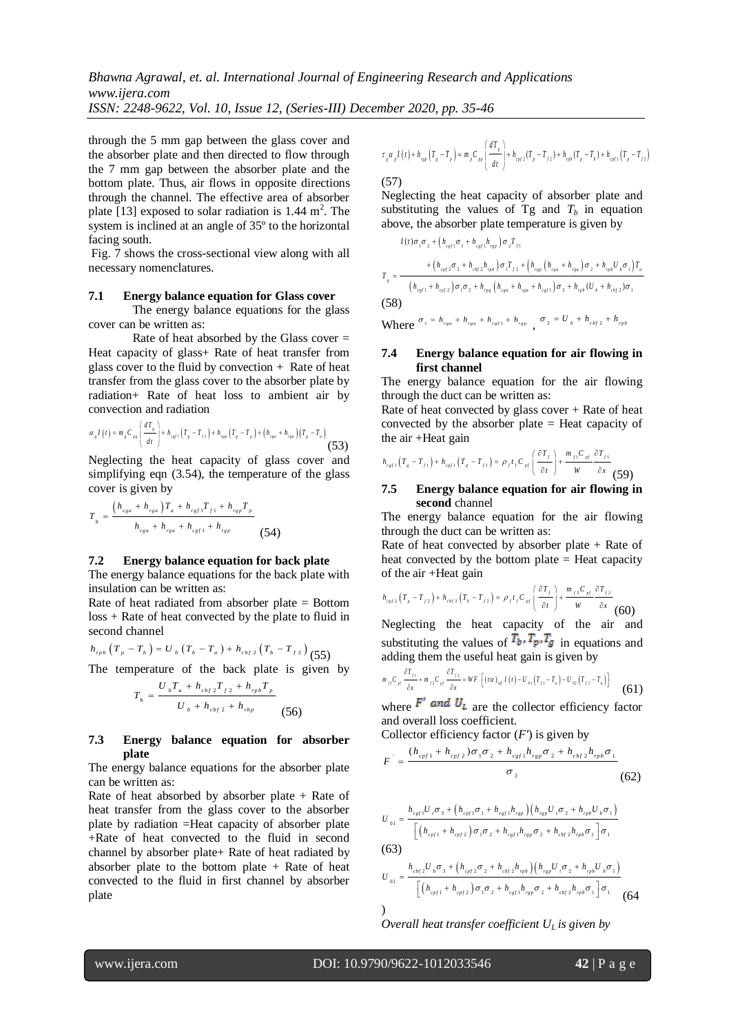through the 5 mm gap between the glass cover and the absorber plate and then directed to flow through the 7 mm gap between the absorber plate and the bottom plate. Thus, air flows in opposite directions through the channel. The effective area of absorber plate [13] exposed to solar radiation is  $1.44 \text{ m}^2$ . The system is inclined at an angle of 35º to the horizontal facing south.

Fig. 7 shows the cross-sectional view along with all necessary nomenclatures.

#### **7.1 Energy balance equation for Glass cover**

The energy balance equations for the glass cover can be written as:

Rate of heat absorbed by the Glass cover  $=$ Heat capacity of glass+ Rate of heat transfer from glass cover to the fluid by convection  $+$  Rate of heat transfer from the glass cover to the absorber plate by radiation+ Rate of heat loss to ambient air by convection and radiation<br> $d T_s$ <br> $d T_s$ <br> $d T_s$ <br> $d T_s$ 

$$
\alpha_{s} I(t) = m_{s} C_{ps} \left( \frac{dT_{s}}{dt} \right) + h_{cgt1} \left( T_{s} - T_{f1} \right) + h_{rsp} \left( T_{s} - T_{p} \right) + \left( h_{cse} + h_{rse} \right) \left( T_{s} - T_{a} \right)
$$
\n(53)

Neglecting the heat capacity of glass cover and simplifying eqn (3.54), the temperature of the glass cover is given by

$$
T_{g} = \frac{(h_{cga} + h_{rga})T_{a} + h_{cgf}T_{f1} + h_{rgp}T_{p}}{h_{cga} + h_{rga} + h_{cgf} + h_{rgp}}
$$
(54)

#### **7.2 Energy balance equation for back plate**

The energy balance equations for the back plate with insulation can be written as:

Rate of heat radiated from absorber plate = Bottom loss + Rate of heat convected by the plate to fluid in second channel

second channel  

$$
h_{\text{rpb}}(T_p - T_b) = U_b (T_b - T_a) + h_{\text{cbf 2}} (T_b - T_{\text{f 2}}) (55)
$$

The temperature of the back plate is given by

$$
T_b = \frac{U_b T_a + h_{cbf2} T_{f2} + h_{rb} T_p}{U_b + h_{cbf2} + h_{rbp}}
$$
(56)

#### **7.3 Energy balance equation for absorber plate**

The energy balance equations for the absorber plate can be written as:

Rate of heat absorbed by absorber plate  $+$  Rate of heat transfer from the glass cover to the absorber plate by radiation =Heat capacity of absorber plate +Rate of heat convected to the fluid in second channel by absorber plate+ Rate of heat radiated by absorber plate to the bottom plate  $+$  Rate of heat convected to the fluid in first channel by absorber plate

$$
\tau_{g} \alpha_{p} I(t) + h_{r_{gg}} \left( T_{g} - T_{p} \right) = m_{p} C_{pp} \left( \frac{dT_{p}}{dt} \right) + h_{cr12} (T_{p} - T_{f2}) + h_{r_{pb}} (T_{p} - T_{b}) + h_{cr11} \left( T_{p} - T_{f1} \right)
$$

(57)

Neglecting the heat capacity of absorber plate and substituting the values of  $T_g$  and  $T_h$  in equation above, the absorber plate temperature is given by  $I(t)\sigma_1\sigma_2 + (h_{\text{cyl}}\sigma_1 + h_{\text{cyl}}h_{\text{rgs}})\sigma_2T_{f1}$ 

$$
I(t)\sigma_{1}\sigma_{2} + (h_{c\rho/1}\sigma_{1} + h_{cgt1}h_{rgp})\sigma_{2}T_{f1}
$$
\n
$$
T_{p} = \frac{+(h_{c\rho/2}\sigma_{2} + h_{cbf2}h_{rpb})\sigma_{1}T_{f2} + (h_{rgp}(h_{cgs} + h_{rge})\sigma_{2} + h_{rpb}U_{b}\sigma_{1})T_{a}}{(h_{c\rho/1} + h_{c\rho/2})\sigma_{1}\sigma_{2} + h_{rpg}(h_{cgs} + h_{rgs} + h_{cgt1})\sigma_{2} + h_{rpb}(U_{b} + h_{cbf2})\sigma_{1}}
$$
\n(58)

Where  $\sigma_1 = h_{c_{g}a} + h_{r_{g}a} + h_{c_{g}f1} + h_{r_{g}p}$ ,  $\sigma_2 = U_b + h_{cbf2} + h_{rpb}$ 

#### **7.4 Energy balance equation for air flowing in first channel**

The energy balance equation for the air flowing through the duct can be written as:

Rate of heat convected by glass cover  $+$  Rate of heat convected by the absorber plate = Heat capacity of the air +Heat gain  $\left(\frac{T_f}{T}\right)$  *m<sub>f1</sub>C<sub>pf</sub>*  $\frac{\partial T}{\partial T}$  $\left(\frac{\partial T_f}{\partial T_f}\right)$   $\frac{m_{f1}C_{pf}}{m_{f2}C_{pf}} \frac{\partial T_{f1}}{\partial T_{f3}}$ 

$$
h_{\text{cyl}}\left(T_s - T_{f1}\right) + h_{\text{cyl}}\left(T_p - T_{f1}\right) = \rho_f t_f C_{\text{pl}}\left(\frac{\partial T_f}{\partial t}\right) + \frac{m_{f1}C_{\text{pl}}}{W} \frac{\partial T_{f1}}{\partial x}
$$
(59)

#### **7.5 Energy balance equation for air flowing in second** channel

The energy balance equation for the air flowing through the duct can be written as:

Rate of heat convected by absorber plate  $+$  Rate of heat convected by the bottom plate  $=$  Heat capacity of the air +Heat gain

of the air +Heat gain  
\n
$$
h_{\text{cyl2}}(T_p - T_{f2}) + h_{\text{cyl2}}(T_b - T_{f2}) = \rho_f t_f C_{\text{pl}} \left( \frac{\partial T_f}{\partial t} \right) + \frac{m_{f2} C_{\text{pl}}}{W} \frac{\partial T_{f2}}{\partial x}
$$
\n(60)

Neglecting the heat capacity of the air and substituting the values of  $T_b$ ,  $T_p$ ,  $T_g$  in equations and

adding them the useful heat gain is given by  
\n
$$
m_{f_1}C_{H} \frac{\partial T_{f_1}}{\partial x} + m_{f_2}C_{H} \frac{\partial T_{f_2}}{\partial x} = WF \left[ (\tau \alpha)_{H} I(t) - U_{01}(T_{f_1} - T_a) - U_{02}(T_{f_2} - T_a) \right]
$$
\n(61)

where  $F'$  and  $U_L$  are the collector efficiency factor and overall loss coefficient.

Collector efficiency factor 
$$
(F')
$$
 is given by  
\n
$$
F' = \frac{(h_{cpf1} + h_{cpf2})\sigma_1\sigma_2 + h_{cgf1}h_{rgp}\sigma_2 + h_{cbf2}h_{rpb}\sigma_1}{\sigma_3}
$$
\n(62)

$$
U_{01} = \frac{h_{cg1}U_{r}\sigma_{3} + (h_{cpf1}\sigma_{1} + h_{cg1}h_{rgp})(h_{rgp}U_{r}\sigma_{2} + h_{rpb}U_{b}\sigma_{1})}{[(h_{cpf1} + h_{cpf2})\sigma_{1}\sigma_{2} + h_{cg1}h_{rgp}\sigma_{2} + h_{cbf2}h_{rpb}\sigma_{1}]\sigma_{1}}
$$
\n(63)\n
$$
h_{cbf2}U_{b}\sigma_{3} + (h_{cpf2}\sigma_{2} + h_{cbf2}h_{rb})\left(h_{rgp}U_{r}\sigma_{2} + h_{rpb}U_{b}\sigma_{1}\right)
$$

$$
U_{02} = \frac{h_{cbf2}U_b \sigma_3 + (h_{cpf2} \sigma_2 + h_{cbf2}h_{rpb})(h_{rgp}U_r \sigma_2 + h_{rpb}U_b \sigma_1)}{[(h_{cpf1} + h_{cpf2}) \sigma_1 \sigma_2 + h_{cgf1}h_{rgp} \sigma_2 + h_{cbf2}h_{rpb} \sigma_1] \sigma_1}
$$
(64)

*Overall heat transfer coefficient*  $U_L$  *is given by*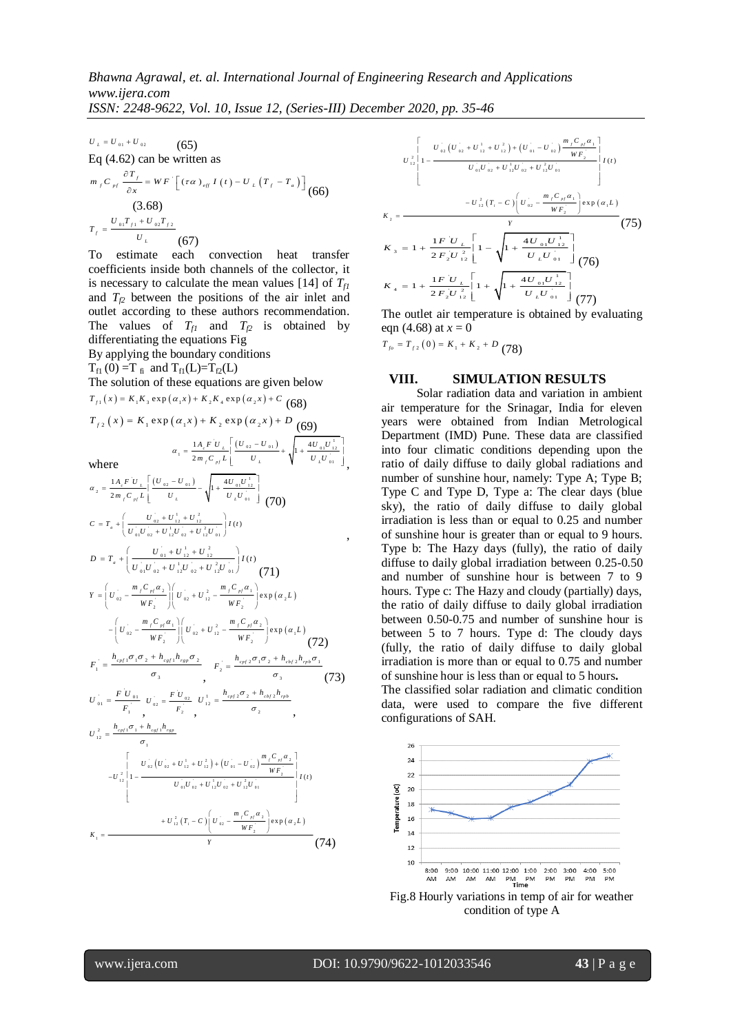,

 $U_L = U_{01} + U_{02}$  $(65)$ Eq (4.62) can be written as

Eq (4.62) can be written as  
\n
$$
m_{f}C_{pf} \frac{\partial T_{f}}{\partial x} = WF \left[ (\tau \alpha)_{eff} I(t) - U_{L}(T_{f} - T_{a}) \right]
$$
\n(66)  
\n(3.68)  
\n
$$
T_{f} = \frac{U_{01}T_{f1} + U_{02}T_{f2}}{U_{L}}
$$
\n(67)

To estimate each convection heat transfer coefficients inside both channels of the collector, it is necessary to calculate the mean values [14] of  $T_f$ and  $T_f2$  between the positions of the air inlet and outlet according to these authors recommendation. The values of  $T_f$  and  $T_f$  is obtained by differentiating the equations Fig

By applying the boundary conditions  $T_{\rm fl}$  (0) =T  $_{\rm fi}$  and T<sub>f1</sub>(L)=T<sub>f2</sub>(L) The solution of these equations are given below The solution of these equations are given bel<br>  $T_{f_1}(x) = K_1 K_3 \exp(\alpha_1 x) + K_2 K_4 \exp(\alpha_2 x) + C$  (68)  $T_{f2}(x) = K_1 \exp(\alpha_1 x) + K_2 \exp(\alpha_2 x) + D$  (68)<br> $T_{f2}(x) = K_1 \exp(\alpha_1 x) + K_2 \exp(\alpha_2 x) + D$  (69) where  $\sigma_1 = \frac{1 A_c F \, U_L}{2 m_f C_{pf} L} \left[ \frac{\left( U_{02} - U_{01} \right)}{U_L} + \sqrt{1 + \frac{4 U_{01} U_{12}^{\frac{1}{2}}}{U_L U_{01}}}\right]$  $\frac{1 A_c F U_L}{2 m_c C_{c} L} \left[ \frac{(U_{02} - U_{01})}{U_L} + \sqrt{1 + \frac{4 A_c}{U_{c}}} \right]$  $\frac{1}{c}$  *F*  $\frac{1}{L}$  $\int_{f} C_{pf} L$   $U_{L}$   $V_{L}$   $U_{L}$  $A_{c} F U_{L} \left[ (U_{02} - U_{01}) \right]$  $\alpha_1 = \frac{1 A_c F U_L}{2 m_f C_{pf} L} \left[ \frac{(U_{02} - U_{01})}{U_L} + \sqrt{1 + \frac{4 U_{01} U_{12}^{\frac{1}{2}}}{U_L U_{01}}} \right]$  $\left[\frac{(\frac{U_{02}}{02}-\frac{U_{01}}{01})}{U_L}+\sqrt{1+\frac{+U_{01}U_{12}}{U_LU_{01}}}\right],$  $\begin{bmatrix} u & \end{bmatrix} (u - u)$ 1  $A_c F U_L$   $\left[ (U_{02} - U_{01}) \right]$   $\left[ 4 \right]$  $A_{c} F U_{L} \left[ (U_{02} - U_{01}) \right]$   $\left[ 4U_{01}U \right]$  $\left[ (U_{02} - U_{01}) \right]$   $\left[ 4U_{01}U_{12}^{1} \right]$ 

$$
U_{\perp} = U_{u_1} + U_{u_2}
$$
\n
$$
U_{\perp} = U_{u_1} + U_{u_2}
$$
\n
$$
U_{\perp} = U_{u_1} + U_{u_2} + U_{u_1} + U_{u_2} + U_{u_2}
$$
\n
$$
U_{\perp} = U_{u_1} + U_{u_2} + U_{u_2}
$$
\n
$$
U_{\perp} = U_{u_1} + U_{u_2} + U_{u_2}
$$
\n
$$
U_{\perp} = U_{u_1} + U_{u_2} + U_{u_2}
$$
\n
$$
U_{\perp} = U_{u_1} + U_{u_2} + U_{u_2}
$$
\n
$$
U_{\perp} = U_{u_1} + U_{u_1} + U_{u_2}
$$
\n
$$
U_{\perp} = U_{u_1} + U_{u_1} + U_{u_2}
$$
\n
$$
U_{\perp} = U_{u_1} + U_{u_1} + U_{u_2}
$$
\n
$$
U_{\perp} = U_{u_1} + U_{u_2} + U_{u_1}
$$
\n
$$
U_{\perp} = U_{u_1} + U_{u_1} + U_{u_2} + U_{u_1}
$$
\n
$$
U_{\perp} = U_{u_1} + U_{u_1} + U_{u_1} + U_{u_1}
$$
\n
$$
U_{\perp} = U_{u_1} + U_{u_1} + U_{u_1} + U_{u_1}
$$
\n
$$
U_{\perp} = U_{u_1} + U_{u_1} + U_{u_1} + U_{u_1}
$$
\n
$$
U_{u_1} = U_{u_1} + U_{u_1} + U_{u_1} + U_{u_1}
$$
\n
$$
U_{u_1} = U_{u_1} + U_{u_1} + U_{u_1} + U_{u_1}
$$
\n
$$
U_{u_1} = U_{u_1} + U_{u_1} + U_{u_1} + U_{u_1}
$$
\n
$$
U_{u_1} = U_{u_1} + U_{u_1} + U_{u_1} + U_{u_1}
$$
\n
$$
U_{u_1} = U_{u_1} + U_{u_1
$$

$$
K_{3} = 1 + \frac{1F}{2F_{2}U_{12}^{2}} \left[ 1 - \frac{V_{02}(U_{02} + U_{12}^{1} + U_{12}^{2}) + (U_{01} - U_{02}^{1}) \frac{m_{f}C_{H}a_{1}}{W_{f}}}{V_{01}U_{02} + U_{12}^{1}U_{02} + U_{12}^{2}U_{01}} \right] I(t)
$$
\n
$$
K_{2} = \frac{-U_{12}^{2}(T_{t} - C) \left[ U_{02} - \frac{m_{f}C_{H}a_{1}}{W_{f}} \right] \exp(\alpha_{1}L)}{Y}
$$
\n
$$
K_{3} = 1 + \frac{1F U_{L}}{2F_{2}U_{12}^{2}} \left[ 1 - \sqrt{1 + \frac{4U_{01}U_{12}^{1}}{U_{L}U_{01}} \right] (76)
$$
\n
$$
K_{4} = 1 + \frac{1F U_{L}}{2F_{2}U_{12}^{2}} \left[ 1 + \sqrt{1 + \frac{4U_{01}U_{12}^{1}}{U_{L}U_{01}} \right] (77)
$$

The outlet air temperature is obtained by evaluating eqn (4.68) at  $x = 0$ 

 $T_{f0} = T_{f2}(0) = K_1 + K_2 + D$  (78)

#### **VIII. SIMULATION RESULTS**

Solar radiation data and variation in ambient air temperature for the Srinagar, India for eleven years were obtained from Indian Metrological Department (IMD) Pune. These data are classified into four climatic conditions depending upon the ratio of daily diffuse to daily global radiations and number of sunshine hour, namely: Type A; Type B; Type C and Type D, Type a: The clear days (blue sky), the ratio of daily diffuse to daily global irradiation is less than or equal to 0.25 and number of sunshine hour is greater than or equal to 9 hours. Type b: The Hazy days (fully), the ratio of daily diffuse to daily global irradiation between 0.25-0.50 and number of sunshine hour is between 7 to 9 hours. Type c: The Hazy and cloudy (partially) days, the ratio of daily diffuse to daily global irradiation between 0.50-0.75 and number of sunshine hour is between 5 to 7 hours. Type d: The cloudy days (fully, the ratio of daily diffuse to daily global irradiation is more than or equal to 0.75 and number of sunshine hour is less than or equal to 5 hours**.**

The classified solar radiation and climatic condition data, were used to compare the five different configurations of SAH.



Fig.8 Hourly variations in temp of air for weather condition of type A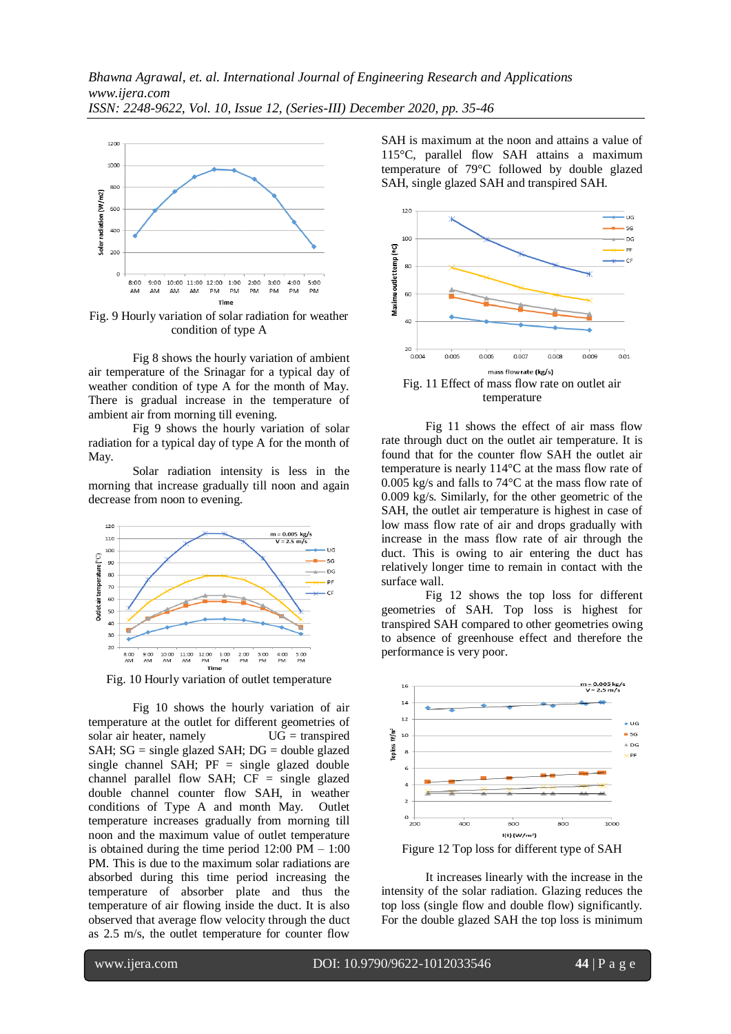

Fig. 9 Hourly variation of solar radiation for weather condition of type A

Fig 8 shows the hourly variation of ambient air temperature of the Srinagar for a typical day of weather condition of type A for the month of May. There is gradual increase in the temperature of ambient air from morning till evening.

Fig 9 shows the hourly variation of solar radiation for a typical day of type A for the month of May.

Solar radiation intensity is less in the morning that increase gradually till noon and again decrease from noon to evening.



Fig. 10 Hourly variation of outlet temperature

Fig 10 shows the hourly variation of air temperature at the outlet for different geometries of solar air heater, namely  $UG =$  transpired SAH;  $SG = single$  glazed SAH;  $DG = double$  glazed single channel SAH;  $PF = single$  glazed double channel parallel flow SAH; CF = single glazed double channel counter flow SAH, in weather conditions of Type A and month May. Outlet temperature increases gradually from morning till noon and the maximum value of outlet temperature is obtained during the time period 12:00 PM – 1:00 PM. This is due to the maximum solar radiations are absorbed during this time period increasing the temperature of absorber plate and thus the temperature of air flowing inside the duct. It is also observed that average flow velocity through the duct as 2.5 m/s, the outlet temperature for counter flow

SAH is maximum at the noon and attains a value of 115°C, parallel flow SAH attains a maximum temperature of 79°C followed by double glazed SAH, single glazed SAH and transpired SAH.



Fig 11 shows the effect of air mass flow rate through duct on the outlet air temperature. It is found that for the counter flow SAH the outlet air temperature is nearly 114°C at the mass flow rate of 0.005 kg/s and falls to 74°C at the mass flow rate of 0.009 kg/s. Similarly, for the other geometric of the SAH, the outlet air temperature is highest in case of low mass flow rate of air and drops gradually with increase in the mass flow rate of air through the duct. This is owing to air entering the duct has relatively longer time to remain in contact with the surface wall.

Fig 12 shows the top loss for different geometries of SAH. Top loss is highest for transpired SAH compared to other geometries owing to absence of greenhouse effect and therefore the performance is very poor.



Figure 12 Top loss for different type of SAH

It increases linearly with the increase in the intensity of the solar radiation. Glazing reduces the top loss (single flow and double flow) significantly. For the double glazed SAH the top loss is minimum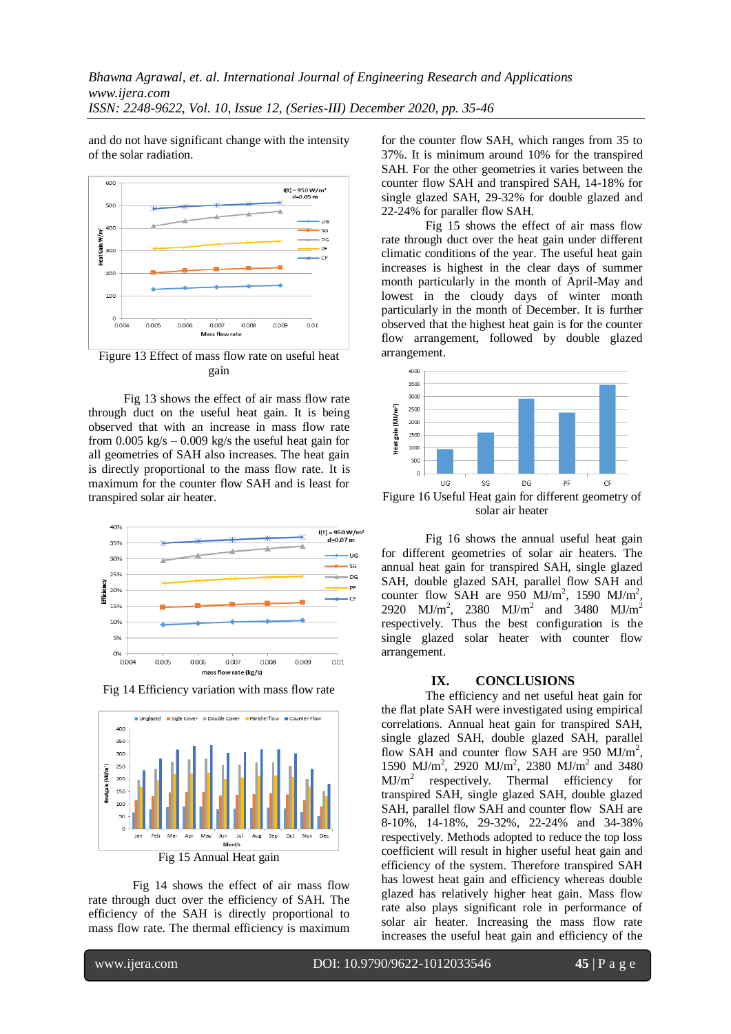and do not have significant change with the intensity of the solar radiation.



Figure 13 Effect of mass flow rate on useful heat gain

Fig 13 shows the effect of air mass flow rate through duct on the useful heat gain. It is being observed that with an increase in mass flow rate from 0.005 kg/s  $-$  0.009 kg/s the useful heat gain for all geometries of SAH also increases. The heat gain is directly proportional to the mass flow rate. It is maximum for the counter flow SAH and is least for transpired solar air heater.



Fig 14 Efficiency variation with mass flow rate



Fig 15 Annual Heat gain

Fig 14 shows the effect of air mass flow rate through duct over the efficiency of SAH. The efficiency of the SAH is directly proportional to mass flow rate. The thermal efficiency is maximum for the counter flow SAH, which ranges from 35 to 37%. It is minimum around 10% for the transpired SAH. For the other geometries it varies between the counter flow SAH and transpired SAH, 14-18% for single glazed SAH, 29-32% for double glazed and 22-24% for paraller flow SAH.

Fig 15 shows the effect of air mass flow rate through duct over the heat gain under different climatic conditions of the year. The useful heat gain increases is highest in the clear days of summer month particularly in the month of April-May and lowest in the cloudy days of winter month particularly in the month of December. It is further observed that the highest heat gain is for the counter flow arrangement, followed by double glazed arrangement.



Figure 16 Useful Heat gain for different geometry of solar air heater

Fig 16 shows the annual useful heat gain for different geometries of solar air heaters. The annual heat gain for transpired SAH, single glazed SAH, double glazed SAH, parallel flow SAH and counter flow SAH are 950  $MJ/m^2$ , 1590  $MJ/m^2$ , 2920 MJ/m<sup>2</sup>, 2380 MJ/m<sup>2</sup> and 3480 MJ/m<sup>2</sup> respectively. Thus the best configuration is the single glazed solar heater with counter flow arrangement.

#### **IX. CONCLUSIONS**

The efficiency and net useful heat gain for the flat plate SAH were investigated using empirical correlations. Annual heat gain for transpired SAH, single glazed SAH, double glazed SAH, parallel flow SAH and counter flow SAH are 950 MJ/m<sup>2</sup>, 1590 MJ/m<sup>2</sup>, 2920 MJ/m<sup>2</sup>, 2380 MJ/m<sup>2</sup> and 3480  $MJ/m<sup>2</sup>$ respectively. Thermal efficiency for transpired SAH, single glazed SAH, double glazed SAH, parallel flow SAH and counter flow SAH are 8-10%, 14-18%, 29-32%, 22-24% and 34-38% respectively. Methods adopted to reduce the top loss coefficient will result in higher useful heat gain and efficiency of the system. Therefore transpired SAH has lowest heat gain and efficiency whereas double glazed has relatively higher heat gain. Mass flow rate also plays significant role in performance of solar air heater. Increasing the mass flow rate increases the useful heat gain and efficiency of the